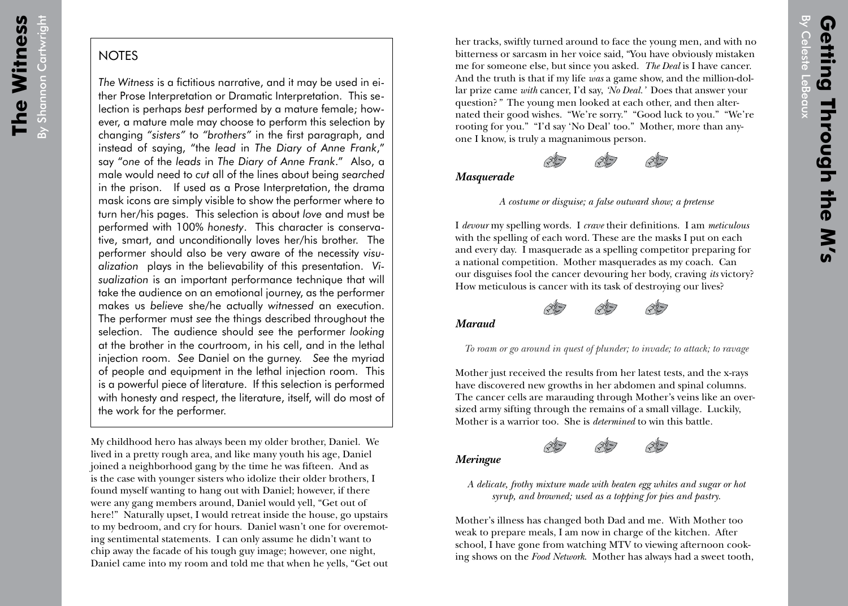## **NOTES**

*The Witness* is a fictitious narrative, and it may be used in either Prose Interpretation or Dramatic Interpretation. This selection is perhaps *best* performed by a mature female; however, a mature male may choose to perform this selection by changing *"sisters"* to *"brothers"* in the first paragraph, and instead of saying, "the *lead* in *The Diary of Anne Frank*," say "*one* of the *leads* in *The Diary of Anne Frank*." Also, a male would need to *cut* all of the lines about being *searched* in the prison. If used as a Prose Interpretation, the drama mask icons are simply visible to show the performer where to turn her/his pages. This selection is about *love* and must be performed with 100% *honesty*. This character is conservative, smart, and unconditionally loves her/his brother. The performer should also be very aware of the necessity *visualization* plays in the believability of this presentation. *Visualization* is an important performance technique that will take the audience on an emotional journey, as the performer makes us *believe* she/he actually *witnessed* an execution. The performer must *see* the things described throughout the selection. The audience should *see* the performer *looking* at the brother in the courtroom, in his cell, and in the lethal injection room. *See* Daniel on the gurney. *See* the myriad of people and equipment in the lethal injection room. This is a powerful piece of literature. If this selection is performed with honesty and respect, the literature, itself, will do most of the work for the performer.

My childhood hero has always been my older brother, Daniel. We lived in a pretty rough area, and like many youth his age, Daniel joined a neighborhood gang by the time he was fifteen. And as is the case with younger sisters who idolize their older brothers, I found myself wanting to hang out with Daniel; however, if there were any gang members around, Daniel would yell, "Get out of here!" Naturally upset, I would retreat inside the house, go upstairs to my bedroom, and cry for hours. Daniel wasn't one for overemoting sentimental statements. I can only assume he didn't want to chip away the facade of his tough guy image; however, one night, Daniel came into my room and told me that when he yells, "Get out